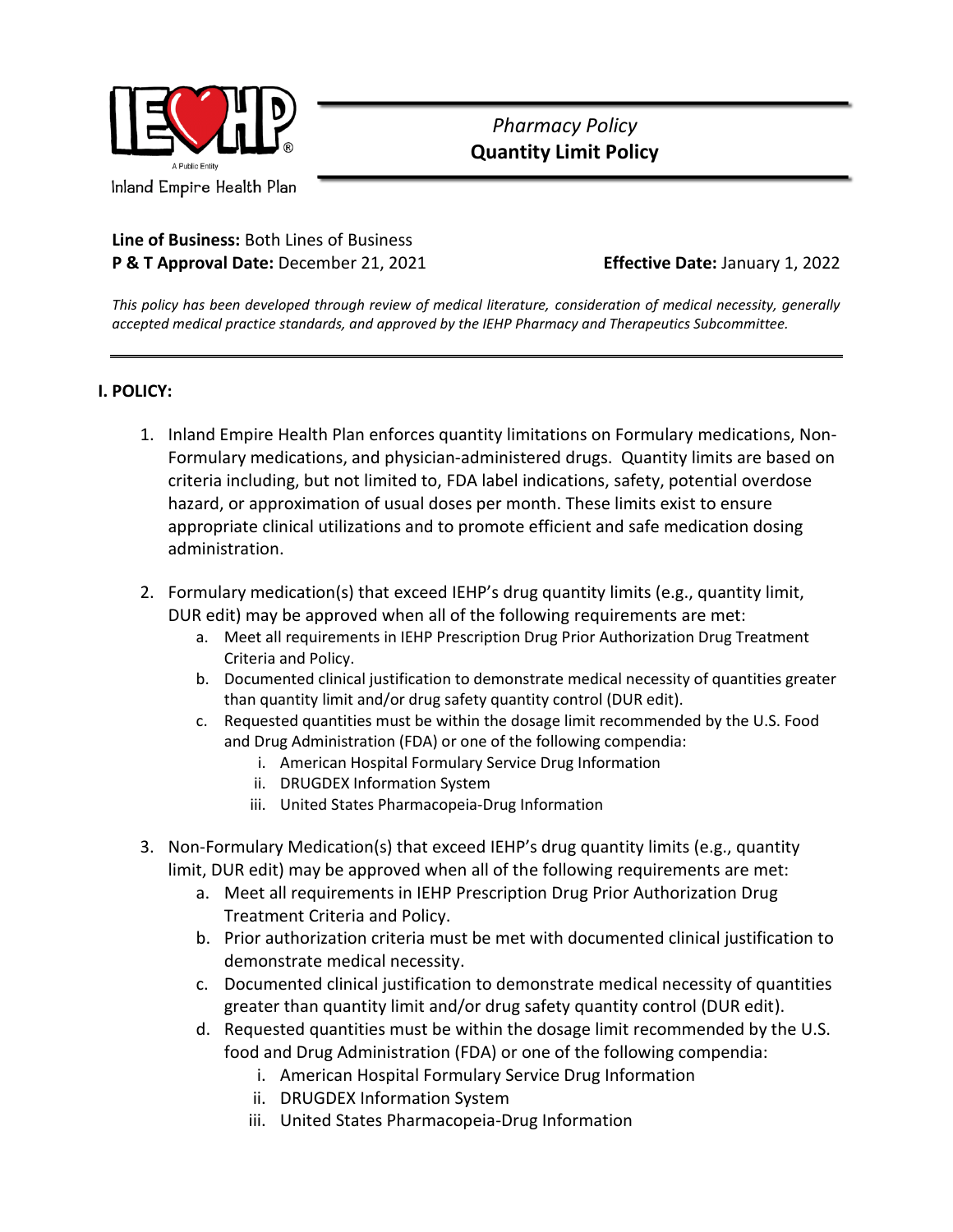

## *Pharmacy Policy*  **Quantity Limit Policy**

**Line of Business:** Both Lines of Business

**P & T Approval Date:** December 21, 2021 **Effective Date:** January 1, 2022

*This policy has been developed through review of medical literature, consideration of medical necessity, generally accepted medical practice standards, and approved by the IEHP Pharmacy and Therapeutics Subcommittee.*

## **I. POLICY:**

- 1. Inland Empire Health Plan enforces quantity limitations on Formulary medications, Non-Formulary medications, and physician-administered drugs. Quantity limits are based on criteria including, but not limited to, FDA label indications, safety, potential overdose hazard, or approximation of usual doses per month. These limits exist to ensure appropriate clinical utilizations and to promote efficient and safe medication dosing administration.
- 2. Formulary medication(s) that exceed IEHP's drug quantity limits (e.g., quantity limit, DUR edit) may be approved when all of the following requirements are met:
	- a. Meet all requirements in IEHP Prescription Drug Prior Authorization Drug Treatment Criteria and Policy.
	- b. Documented clinical justification to demonstrate medical necessity of quantities greater than quantity limit and/or drug safety quantity control (DUR edit).
	- c. Requested quantities must be within the dosage limit recommended by the U.S. Food and Drug Administration (FDA) or one of the following compendia:
		- i. American Hospital Formulary Service Drug Information
		- ii. DRUGDEX Information System
		- iii. United States Pharmacopeia-Drug Information
- 3. Non-Formulary Medication(s) that exceed IEHP's drug quantity limits (e.g., quantity limit, DUR edit) may be approved when all of the following requirements are met:
	- a. Meet all requirements in IEHP Prescription Drug Prior Authorization Drug Treatment Criteria and Policy.
	- b. Prior authorization criteria must be met with documented clinical justification to demonstrate medical necessity.
	- c. Documented clinical justification to demonstrate medical necessity of quantities greater than quantity limit and/or drug safety quantity control (DUR edit).
	- d. Requested quantities must be within the dosage limit recommended by the U.S. food and Drug Administration (FDA) or one of the following compendia:
		- i. American Hospital Formulary Service Drug Information
		- ii. DRUGDEX Information System
		- iii. United States Pharmacopeia-Drug Information